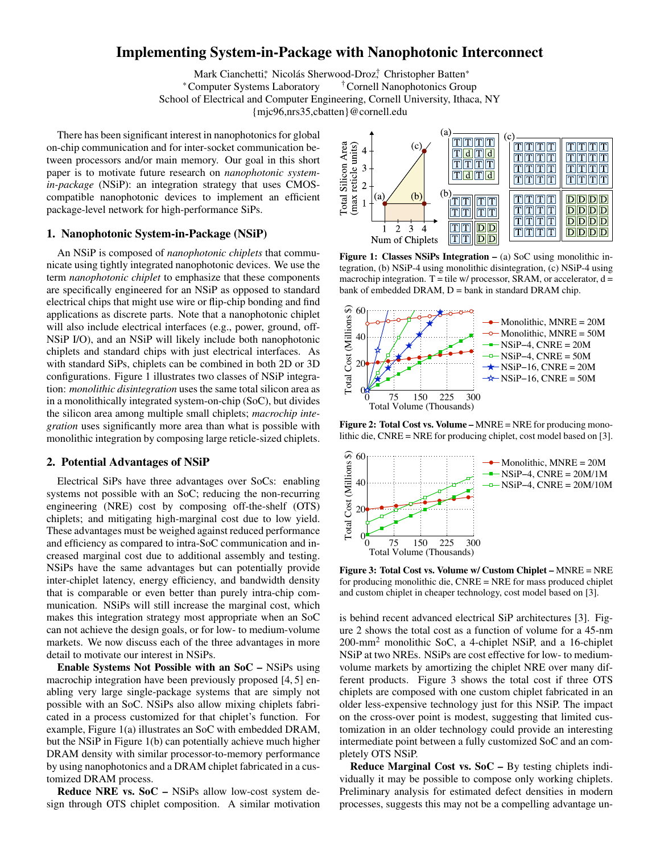# Implementing System-in-Package with Nanophotonic Interconnect

Mark Cianchetti,\* Nicolás Sherwood-Droz, \* Christopher Batten\* \*Computer Systems Laboratory †Cornell Nanophotonics Group School of Electrical and Computer Engineering, Cornell University, Ithaca, NY {mjc96,nrs35,cbatten}@cornell.edu

There has been significant interest in nanophotonics for global on-chip communication and for inter-socket communication between processors and/or main memory. Our goal in this short paper is to motivate future research on *nanophotonic systemin-package* (NSiP): an integration strategy that uses CMOScompatible nanophotonic devices to implement an efficient package-level network for high-performance SiPs.

### 1. Nanophotonic System-in-Package (NSiP)

An NSiP is composed of *nanophotonic chiplets* that communicate using tightly integrated nanophotonic devices. We use the term *nanophotonic chiplet* to emphasize that these components are specifically engineered for an NSiP as opposed to standard electrical chips that might use wire or flip-chip bonding and find applications as discrete parts. Note that a nanophotonic chiplet will also include electrical interfaces (e.g., power, ground, off-NSiP I/O), and an NSiP will likely include both nanophotonic chiplets and standard chips with just electrical interfaces. As with standard SiPs, chiplets can be combined in both 2D or 3D configurations. Figure 1 illustrates two classes of NSiP integration: *monolithic disintegration* uses the same total silicon area as in a monolithically integrated system-on-chip (SoC), but divides the silicon area among multiple small chiplets; *macrochip integration* uses significantly more area than what is possible with monolithic integration by composing large reticle-sized chiplets.

### 2. Potential Advantages of NSiP

Electrical SiPs have three advantages over SoCs: enabling systems not possible with an SoC; reducing the non-recurring engineering (NRE) cost by composing off-the-shelf (OTS) chiplets; and mitigating high-marginal cost due to low yield. These advantages must be weighed against reduced performance and efficiency as compared to intra-SoC communication and increased marginal cost due to additional assembly and testing. NSiPs have the same advantages but can potentially provide inter-chiplet latency, energy efficiency, and bandwidth density that is comparable or even better than purely intra-chip communication. NSiPs will still increase the marginal cost, which makes this integration strategy most appropriate when an SoC can not achieve the design goals, or for low- to medium-volume markets. We now discuss each of the three advantages in more detail to motivate our interest in NSiPs.

Enable Systems Not Possible with an SoC – NSiPs using macrochip integration have been previously proposed [4, 5] enabling very large single-package systems that are simply not possible with an SoC. NSiPs also allow mixing chiplets fabricated in a process customized for that chiplet's function. For example, Figure 1(a) illustrates an SoC with embedded DRAM, but the NSiP in Figure 1(b) can potentially achieve much higher DRAM density with similar processor-to-memory performance by using nanophotonics and a DRAM chiplet fabricated in a customized DRAM process.

Reduce NRE vs. SoC – NSiPs allow low-cost system design through OTS chiplet composition. A similar motivation



Figure 1: Classes NSiPs Integration – (a) SoC using monolithic integration, (b) NSiP-4 using monolithic disintegration, (c) NSiP-4 using macrochip integration.  $T =$  tile w/ processor, SRAM, or accelerator,  $d =$ bank of embedded DRAM,  $D =$  bank in standard DRAM chip.



Figure 2: Total Cost vs. Volume – MNRE = NRE for producing monolithic die, CNRE = NRE for producing chiplet, cost model based on [3].



Figure 3: Total Cost vs. Volume w/ Custom Chiplet – MNRE = NRE for producing monolithic die, CNRE = NRE for mass produced chiplet and custom chiplet in cheaper technology, cost model based on [3].

is behind recent advanced electrical SiP architectures [3]. Figure 2 shows the total cost as a function of volume for a 45-nm 200-mm2 monolithic SoC, a 4-chiplet NSiP, and a 16-chiplet NSiP at two NREs. NSiPs are cost effective for low- to mediumvolume markets by amortizing the chiplet NRE over many different products. Figure 3 shows the total cost if three OTS chiplets are composed with one custom chiplet fabricated in an older less-expensive technology just for this NSiP. The impact on the cross-over point is modest, suggesting that limited customization in an older technology could provide an interesting intermediate point between a fully customized SoC and an completely OTS NSiP.

Reduce Marginal Cost vs. SoC – By testing chiplets individually it may be possible to compose only working chiplets. Preliminary analysis for estimated defect densities in modern processes, suggests this may not be a compelling advantage un